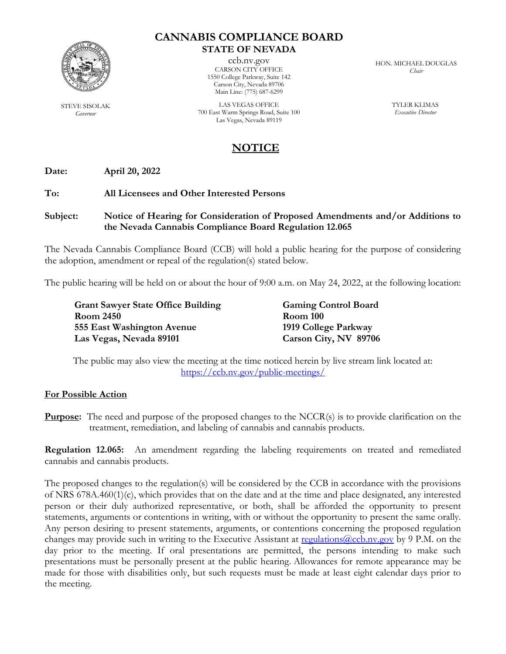

STEVE SISOLAK *Governor*

## **CANNABIS COMPLIANCE BOARD STATE OF NEVADA**

ccb.nv.gov CARSON CITY OFFICE 1550 College Parkway, Suite 142 Carson City, Nevada 89706 Main Line: (775) 687-6299

LAS VEGAS OFFICE 700 East Warm Springs Road, Suite 100 Las Vegas, Nevada 89119

HON. MICHAEL DOUGLAS *Chair*

> TYLER KLIMAS *Executive Director*

# **NOTICE**

**Date: April 20, 2022**

## **To: All Licensees and Other Interested Persons**

#### **Subject: Notice of Hearing for Consideration of Proposed Amendments and/or Additions to the Nevada Cannabis Compliance Board Regulation 12.065**

The Nevada Cannabis Compliance Board (CCB) will hold a public hearing for the purpose of considering the adoption, amendment or repeal of the regulation(s) stated below.

The public hearing will be held on or about the hour of 9:00 a.m. on May 24, 2022, at the following location:

**Grant Sawyer State Office Building Gaming Control Board Room 2450 Room 100 555 East Washington Avenue 1919 College Parkway Las Vegas, Nevada 89101 Carson City, NV 89706**

The public may also view the meeting at the time noticed herein by live stream link located at: <https://ccb.nv.gov/public-meetings/>

#### **For Possible Action**

**Purpose:** The need and purpose of the proposed changes to the NCCR(s) is to provide clarification on the treatment, remediation, and labeling of cannabis and cannabis products.

**Regulation 12.065:** An amendment regarding the labeling requirements on treated and remediated cannabis and cannabis products.

The proposed changes to the regulation(s) will be considered by the CCB in accordance with the provisions of NRS 678A.460(1)(c), which provides that on the date and at the time and place designated, any interested person or their duly authorized representative, or both, shall be afforded the opportunity to present statements, arguments or contentions in writing, with or without the opportunity to present the same orally. Any person desiring to present statements, arguments, or contentions concerning the proposed regulation changes may provide such in writing to the Executive Assistant at regulations (accb.nv.gov by 9 P.M. on the day prior to the meeting. If oral presentations are permitted, the persons intending to make such presentations must be personally present at the public hearing. Allowances for remote appearance may be made for those with disabilities only, but such requests must be made at least eight calendar days prior to the meeting.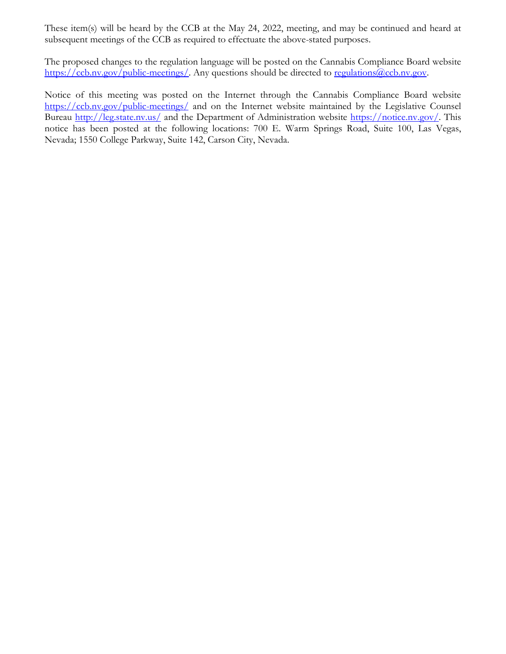These item(s) will be heard by the CCB at the May 24, 2022, meeting, and may be continued and heard at subsequent meetings of the CCB as required to effectuate the above-stated purposes.

The proposed changes to the regulation language will be posted on the Cannabis Compliance Board website [https://ccb.nv.gov/public-meetings/.](https://ccb.nv.gov/public-meetings/) Any questions should be directed to [regulations@ccb.nv.gov.](mailto:regulations@ccb.nv.gov)

Notice of this meeting was posted on the Internet through the Cannabis Compliance Board website <https://ccb.nv.gov/public-meetings/> and on the Internet website maintained by the Legislative Counsel Bureau <http://leg.state.nv.us/> and the Department of Administration website [https://notice.nv.gov/.](https://notice.nv.gov/) This notice has been posted at the following locations: 700 E. Warm Springs Road, Suite 100, Las Vegas, Nevada; 1550 College Parkway, Suite 142, Carson City, Nevada.